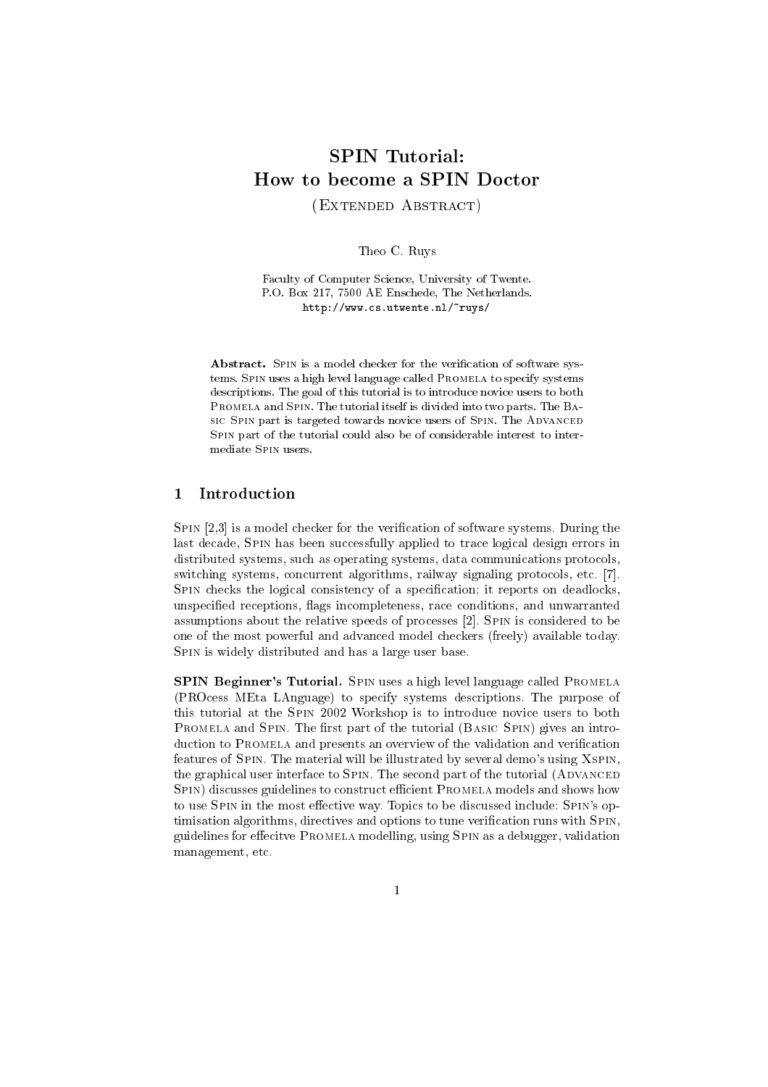# SPIN Tutorial: How to become <sup>a</sup> SPIN Doctor

(Extended Abstract)

### Theo C. Ruys

Faculty of Computer Science, University of Twente. P.O. Box 217, 7500 AE Enschede, The Netherlands. http://www.cs.utwente.nl/~ruys/

Abstract. SPIN is a model checker for the verification of software systems. SPIN uses a high level language called PROMELA to specify systems descriptions. The goal of this tutorial is to introduce novice users to both Promela and Spin. The tutorial itself is divided into two parts. The Basic Spin part is targeted towards novice users of Spin. The ADVANCED Spin part of the tutorial could also be of considerable interest to intermediate SPIN users

#### $\mathbf{1}$ **Introduction**

SPIN [2,3] is a model checker for the verification of software systems. During the last decade, Spin has been successfully applied to trace logical design errors in distributed systems, such as operating systems, data communications protocols, switching systems, concurrent algorithms, railway signaling protocols, etc. [7]. SPIN checks the logical consistency of a specification; it reports on deadlocks, unspecified receptions, flags incompleteness, race conditions, and unwarranted assumptions about the relative speeds of processes [2]. Spin is considered to be one of the most powerful and advanced model checkers (freely) available today. Spin is widely distributed and has a large user base.

SPIN Beginner's Tutorial. SPIN uses a high level language called PROMELA (PROcess MEta LAnguage) to specify systems descriptions. The purpose of this tutorial at the Spin 2002 Workshop is to introduce novice users to both PROMELA and SPIN. The first part of the tutorial (BASIC SPIN) gives an introduction to PROMELA and presents an overview of the validation and verification features of Spin. The material will be illustrated by several demo's using Xspin, the graphical user interface to SPIN. The second part of the tutorial (ADVANCED) SPIN) discusses guidelines to construct efficient PROMELA models and shows how to use SPIN in the most effective way. Topics to be discussed include: SPIN's optimisation algorithms, directives and options to tune verication runs with Spin, guidelines for effecitve PROMELA modelling, using SPIN as a debugger, validation management, etc.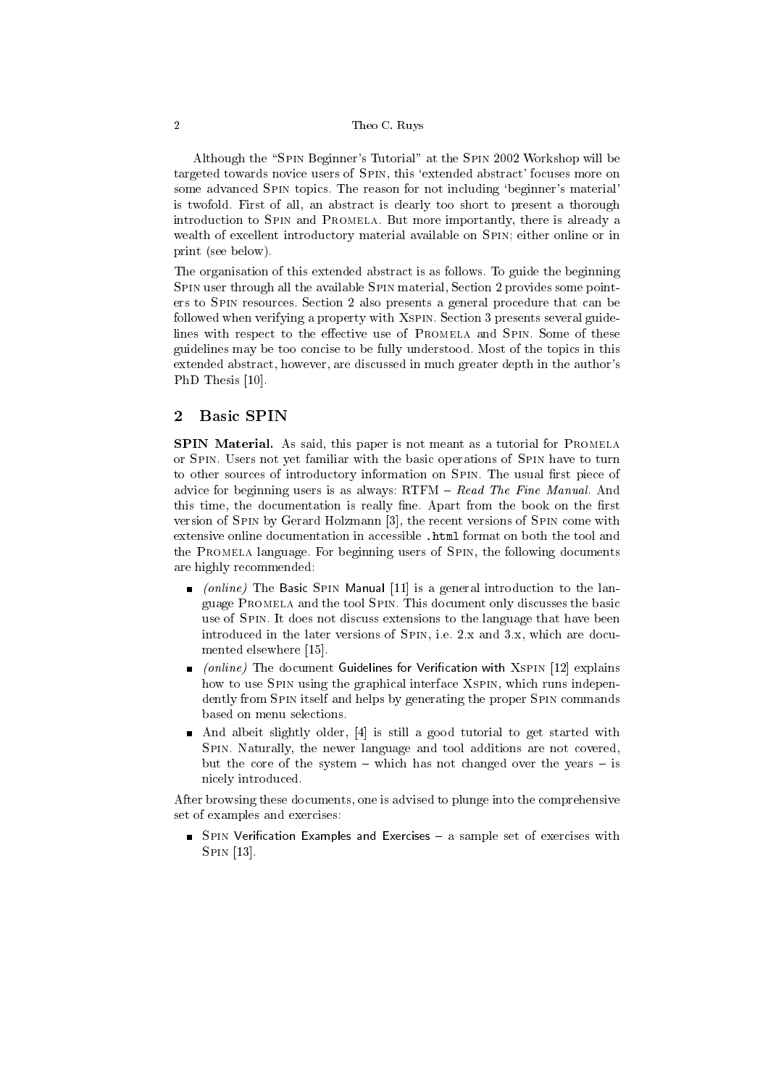### Theo C. Ruys

Although the "SPIN Beginner's Tutorial" at the SPIN 2002 Workshop will be targeted towards novice users of Spin, this `extended abstract' focuses more on some advanced SPIN topics. The reason for not including 'beginner's material' is twofold. First of all, an abstract is clearly too short to present a thorough introduction to Spin and Promela. But more importantly, there is already a wealth of excellent introductory material available on SPIN; either online or in print (see below).

The organisation of this extended abstract is as follows. To guide the beginning Spin user through all the available Spin material, Section 2 provides some pointers to Spin resources. Section 2 also presents a general procedure that can be followed when verifying a property with XSPIN. Section 3 presents several guidelines with respect to the effective use of PROMELA and SPIN. Some of these guidelines may be too concise to be fully understood. Most of the topics in this extended abstract, however, are discussed in much greater depth in the author's PhD Thesis [10].

# 2 Basic SPIN

SPIN Material. As said, this paper is not meant as a tutorial for PROMELA or Spin. Users not yet familiar with the basic operations of Spin have to turn to other sources of introductory information on SPIN. The usual first piece of advice for beginning users is as always:  $RTFM - Read$  The Fine Manual. And this time, the documentation is really fine. Apart from the book on the first version of Spin by Gerard Holzmann [3], the recent versions of Spin come with extensive online documentation in accessible .html format on both the tool and the Promela language. For beginning users of Spin, the following documents are highly recommended:

- $\blacksquare$  (online) The Basic SPIN Manual [11] is a general introduction to the language Promela and the tool Spin. This document only discusses the basic use of Spin. It does not discuss extensions to the language that have been introduced in the later versions of Spin, i.e. 2.x and 3.x, which are documented elsewhere [15].
- *(online)* The document Guidelines for Verification with  $X$ SPIN [12] explains how to use SPIN using the graphical interface XSPIN, which runs independently from SPIN itself and helps by generating the proper SPIN commands based on menu selections.
- And albeit slightly older, [4] is still a good tutorial to get started with Spin. Naturally, the newer language and tool additions are not covered, but the core of the system  $-$  which has not changed over the years  $-$  is nicely introduced.

After browsing these documents, one is advised to plunge into the comprehensive set of examples and exercises:

 $\blacksquare$  SPIN Verification Examples and Exercises  $\blacksquare$  a sample set of exercises with Spin [13].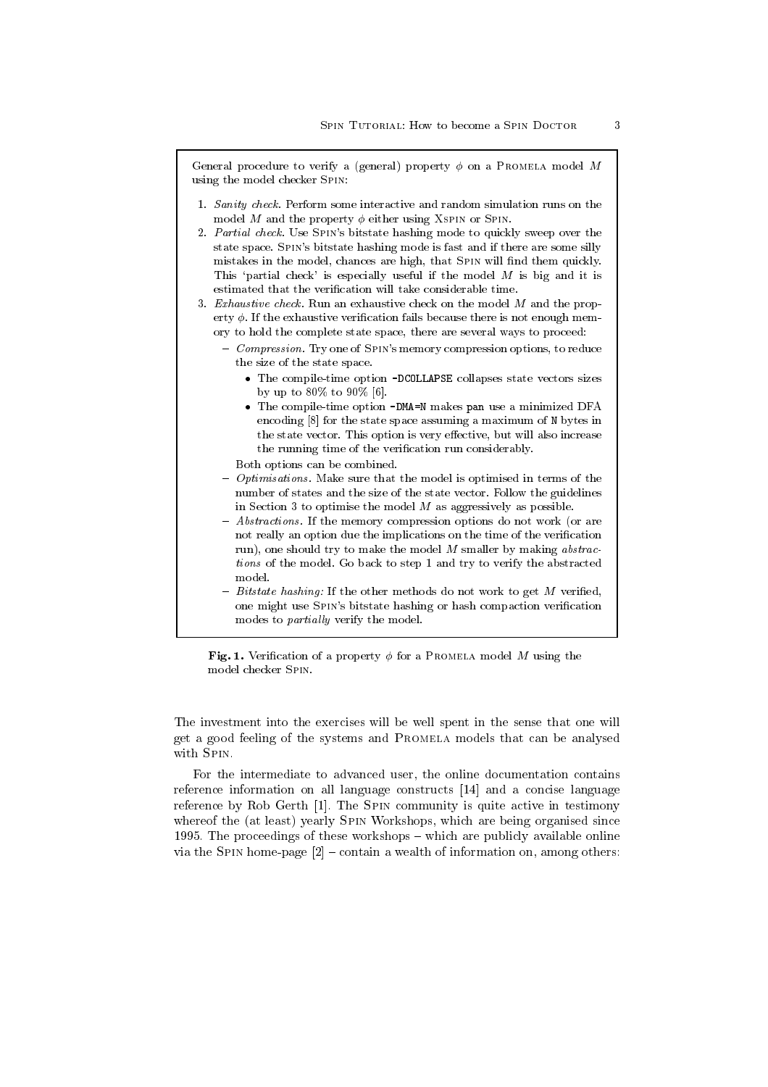General procedure to verify a (general) property  $\phi$  on a Promela model M using the model checker Spin: 1. Sanity check. Perform some interactive and random simulation runs on the model M and the property  $\phi$  either using Xspin or Spin. 2. Partial check. Use Spin's bitstate hashing mode to quickly sweep over the state space. Spin's bitstate hashing mode is fast and if there are some silly mistakes in the model, chances are high, that SPIN will find them quickly. This 'partial check' is especially useful if the model  $M$  is big and it is estimated that the verification will take considerable time. 3. Exhaustive check. Run an exhaustive check on the model <sup>M</sup> and the property  $\phi$ . If the exhaustive verification fails because there is not enough memory to hold the complete state space, there are several ways to proceed:  $-$  Compression. Try one of Spin's memory compression options, to reduce the size of the state space. The compile-time option -DCOLLAPSE collapses state vectors sizes by up to 80% to 90% [6]. The compile-time option -DMA=N makes pan use a minimized DFA encoding [8] for the state space assuming a maximum of N bytes in the state vector. This option is very effective, but will also increase the running time of the verification run considerably. Both options can be combined.  ${{\cal O}ptimisation}$  Make sure that the model is optimised in terms of the number of states and the size of the state vector. Follow the guidelines in Section 3 to optimise the model  $M$  as aggressively as possible. Abstractions. If the memory compression options do not work (or are not really an option due the implications on the time of the verification run), one should try to make the model <sup>M</sup> smaller by making abstractions of the model. Go back to step 1 and try to verify the abstracted model. Bitstate hashing: If the other methods do not work to get  $M$  verified, one might use SPIN's bitstate hashing or hash compaction verification modes to *partially* verify the model.

Fig. 1. Verification of a property  $\phi$  for a PROMELA model M using the model checker Spin.

The investment into the exercises will be well spent in the sense that one will get a good feeling of the systems and Promela models that can be analysed with Spin.

For the intermediate to advanced user, the online documentation contains reference information on all language constructs [14] and a concise language reference by Rob Gerth [1]. The SPIN community is quite active in testimony whereof the (at least) yearly Spin Workshops, which are being organised since 1995. The proceedings of these workshops  $-\text{ which are publicly available online}$ via the SPIN home-page  $[2]$  - contain a wealth of information on, among others: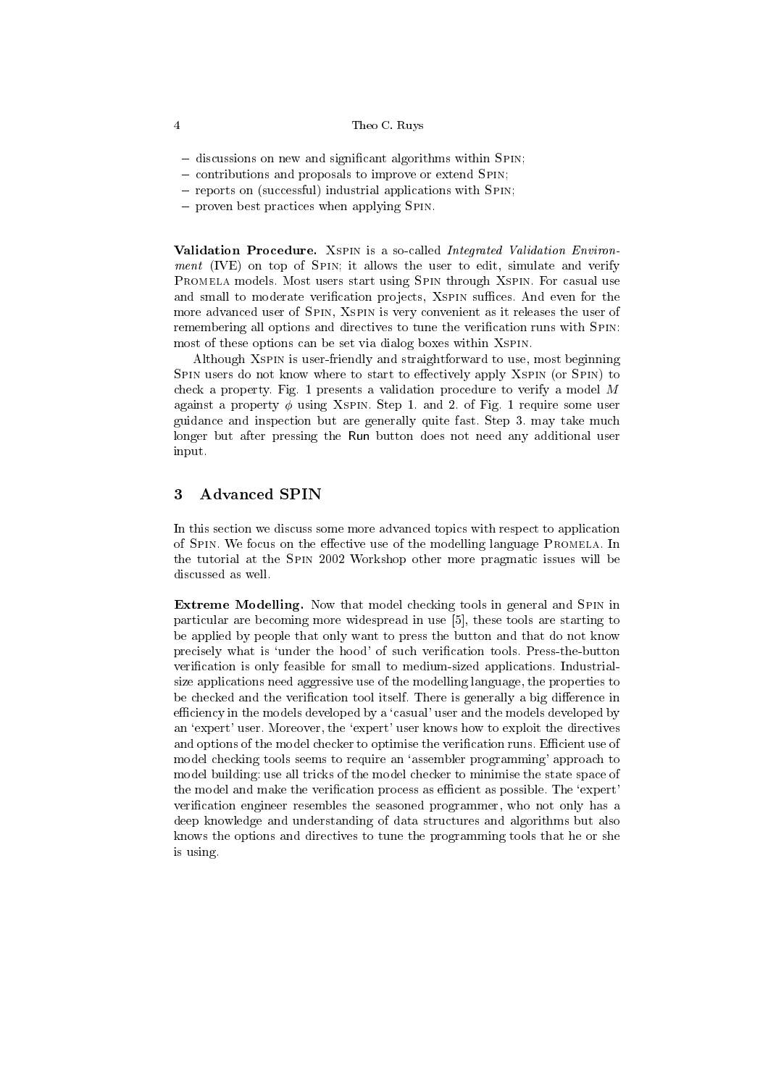### Theo C. Ruys

- $-$  discussions on new and significant algorithms within SPIN;
- $=$  contributions and proposals to improve or extend SPIN;
- $-$  reports on (successful) industrial applications with SPIN;
- { proven best practices when applying Spin.

Validation Procedure. XSPIN is a so-called Integrated Validation Environment (IVE) on top of Spin; it also the user the user to edit, simulate  $\alpha$ Promela models. Most users start using Spin through Xspin. For casual use and small to moderate verification projects, XsPIN suffices. And even for the more advanced user of Spin, Xspin is very convenient as it releases the user of remembering all options and directives to tune the verification runs with SPIN: most of these options can be set via dialog boxes within Xspin.

Although Xspin is user-friendly and straightforward to use, most beginning SPIN users do not know where to start to effectively apply XSPIN (or SPIN) to check a property. Fig. 1 presents a validation procedure to verify a model  $M$ against a property  $\phi$  using XSPIN. Step 1. and 2. of Fig. 1 require some user guidance and inspection but are generally quite fast. Step 3. may take much longer but after pressing the Run button does not need any additional user input.

#### 3 3 Advanced SPIN

In this section we discuss some more advanced topics with respect to application of SPIN. We focus on the effective use of the modelling language PROMELA. In the tutorial at the Spin 2002 Workshop other more pragmatic issues will be discussed as well.

Extreme Modelling. Now that model checking tools in general and Spin in particular are becoming more widespread in use [5], these tools are starting to be applied by people that only want to press the button and that do not know precisely what is 'under the hood' of such verification tools. Press-the-button verification is only feasible for small to medium-sized applications. Industrialsize applications need aggressive use of the modelling language, the properties to be checked and the verification tool itself. There is generally a big difference in efficiency in the models developed by a 'casual' user and the models developed by an 'expert' user. Moreover, the 'expert' user knows how to exploit the directives and options of the model checker to optimise the verification runs. Efficient use of model checking tools seems to require an 'assembler programming' approach to model building: use all tricks of the model checker to minimise the state space of the model and make the verification process as efficient as possible. The 'expert' verification engineer resembles the seasoned programmer, who not only has a deep knowledge and understanding of data structures and algorithms but also knows the options and directives to tune the programming tools that he or she is using.

 $\overline{A}$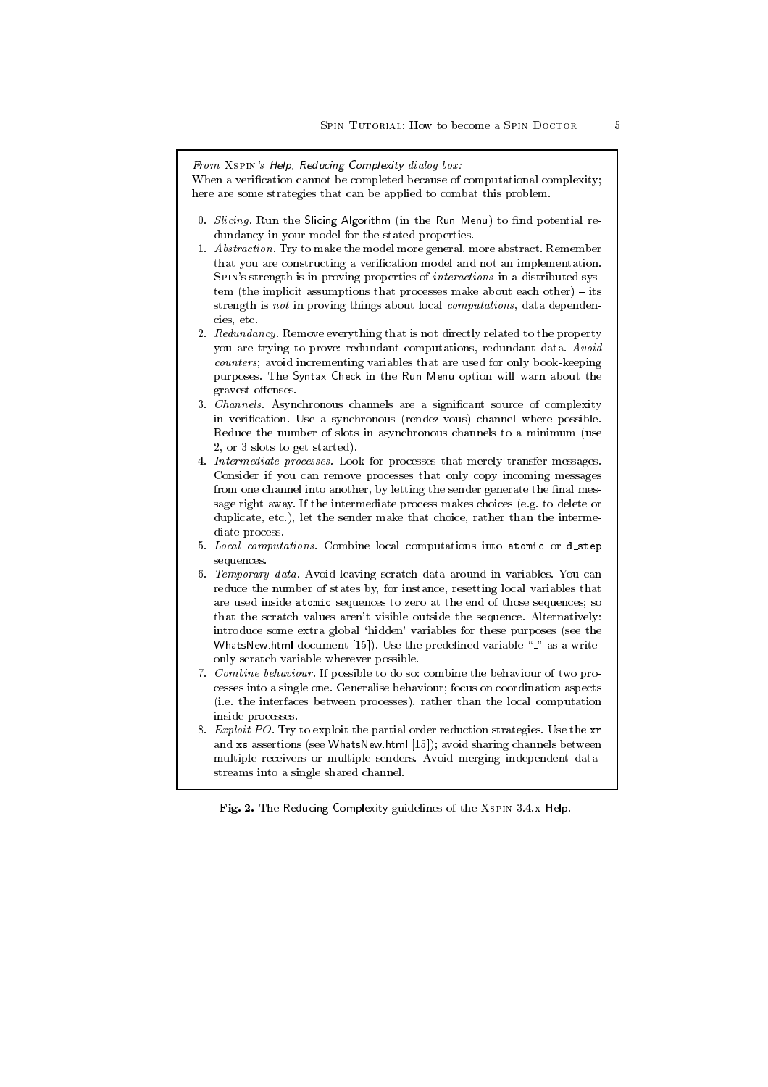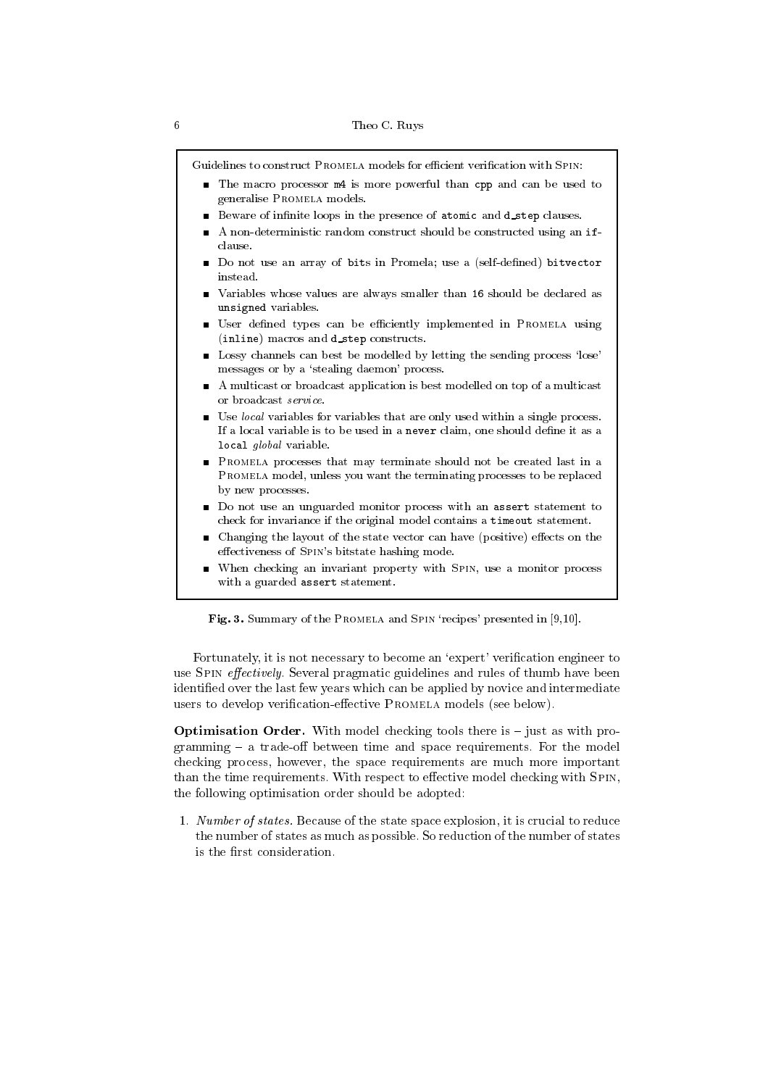Guidelines to construct PROMELA models for efficient verification with SPIN:

- The macro processor m4 is more powerful than cpp and can be used to generalise Promela models.
- Beware of infinite loops in the presence of atomic and d\_step clauses.
- A non-deterministic random construct should be constructed using an if-clause.
- Do not use an array of bits in Promela; use a (self-defined) bitvector
- Variables whose values are always smaller than 16 should be declared as unsigned variables.
- User defined types can be efficiently implemented in PROMELA using (inline) macros and <sup>d</sup> step constructs.
- Lossy channels can best be modelled by letting the sending process 'lose' messages or by a 'stealing daemon' process.
- A multicast or broadcast application is best modelled on top of a multicast or broadcast service.
- Use local variables for variables that are only used within a single process. If a local variable is to be used in a never claim, one should define it as a local global variable.
- Promela processes that may terminate should not be created last in a Promela model, unless you want the terminating processes to be replaced by new processes.
- Do not use an unguarded monitor process with an assert statement to check for invariance if the original model contains a timeout statement.
- Changing the layout of the state vector can have (positive) effects on the effectiveness of SPIN's bitstate hashing mode.
- When checking an invariant property with Spin, use a monitor process with a guarded assert statement.

Fig. 3. Summary of the PROMELA and SPIN 'recipes' presented in [9,10].

Fortunately, it is not necessary to become an 'expert' verification engineer to use SPIN *effectively*. Several pragmatic guidelines and rules of thumb have been identied over the last few years which can be applied by novice and intermediate users to develop verification-effective PROMELA models (see below).

**Optimisation Order.** With model checking tools there is  $-$  just as with programming  $-$  a trade-off between time and space requirements. For the model checking process, however, the space requirements are much more important than the time requirements. With respect to effective model checking with SPIN, the following optimisation order should be adopted:

1. Number of states. Because of the state space explosion, it is crucial to reduce the number of states as much as possible. So reduction of the number of states is the first consideration.

 $6\overline{6}$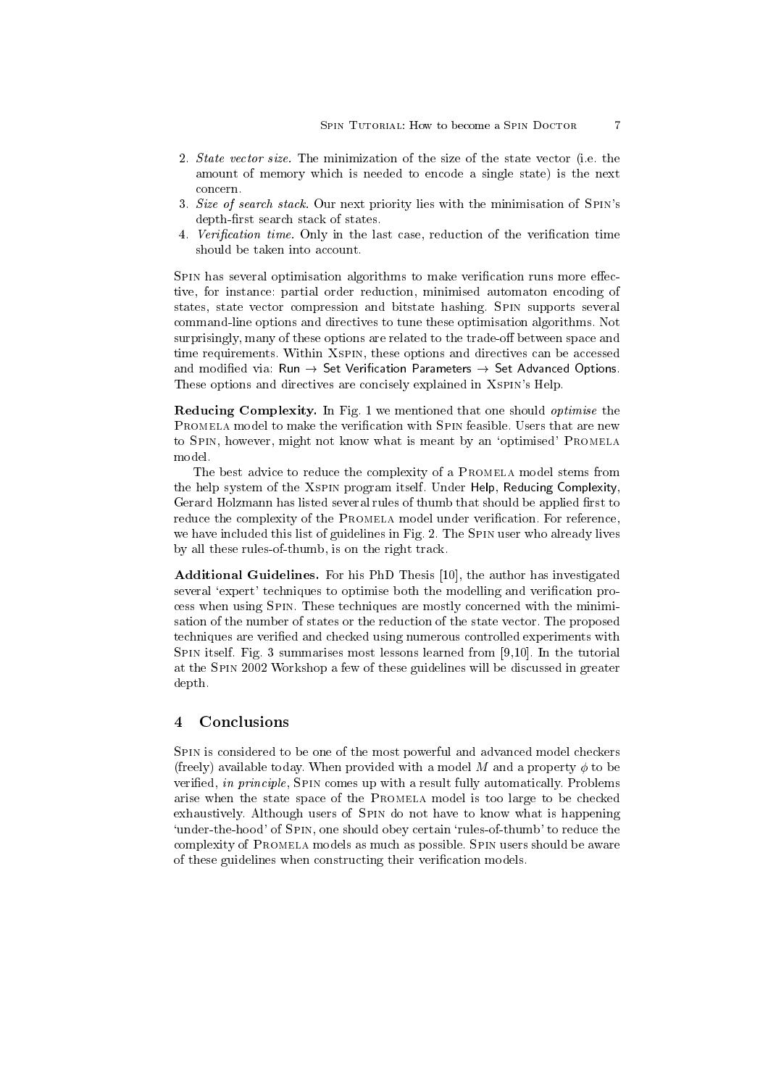- 2. State vector size. The minimization of the size of the state vector (i.e. the amount of memory which is needed to encode a single state) is the next concern.
- 3. Size of search stack. Our next priority lies with the minimisation of Spin's depth-first search stack of states.
- 4. Verification time. Only in the last case, reduction of the verification time should be taken into account.

SPIN has several optimisation algorithms to make verification runs more effective, for instance: partial order reduction, minimised automaton encoding of states, state vector compression and bitstate hashing. Spin supports several command-line options and directives to tune these optimisation algorithms. Not surprisingly, many of these options are related to the trade-off between space and time requirements. Within XsPIN, these options and directives can be accessed and modified via: Run  $\rightarrow$  Set Verification Parameters  $\rightarrow$  Set Advanced Options. These options and directives are concisely explained in Xspin's Help.

Reducing Complexity. In Fig. 1 we mentioned that one should optimise the PROMELA model to make the verification with SPIN feasible. Users that are new to Spin, however, might not know what is meant by an `optimised' Promela model.

The best advice to reduce the complexity of a PROMELA model stems from the help system of the Xspin program itself. Under Help, Reducing Complexity, Gerard Holzmann has listed several rules of thumb that should be applied first to reduce the complexity of the PROMELA model under verification. For reference, we have included this list of guidelines in Fig. 2. The SPIN user who already lives by all these rules-of-thumb, is on the right track.

Additional Guidelines. For his PhD Thesis [10], the author has investigated several 'expert' techniques to optimise both the modelling and verification process when using Spin. These techniques are mostly concerned with the minimisation of the number of states or the reduction of the state vector. The proposed techniques are veried and checked using numerous controlled experiments with Spin itself. Fig. 3 summarises most lessons learned from [9,10]. In the tutorial at the Spin 2002 Workshop a few of these guidelines will be discussed in greater depth.

#### Conclusions  $\overline{\mathbf{4}}$

Spin is considered to be one of the most powerful and advanced model checkers (freely) available today. When provided with a model M and a property  $\phi$  to be verified, in principle, SPIN comes up with a result fully automatically. Problems arise when the state space of the Promela model is too large to be checked exhaustively. Although users of Spin do not have to know what is happening `under-the-hood' of Spin, one should obey certain `rules-of-thumb' to reduce the complexity of Promela models as much as possible. Spin users should be aware of these guidelines when constructing their verication models.